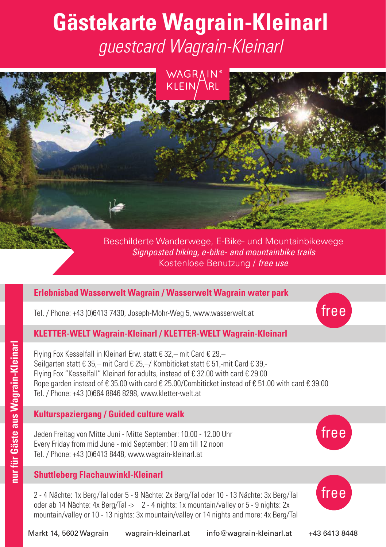# **Gästekarte Wagrain-Kleinarl** *guestcard Wagrain-Kleinarl*



Beschilderte Wanderwege, E-Bike- und Mountainbikewege *Signposted hiking, e-bike- and mountainbike trails* Kostenlose Benutzung / *free use*

# **Erlebnisbad Wasserwelt Wagrain / Wasserwelt Wagrain water park**

Tel. / Phone: +43 (0)6413 7430, Joseph-Mohr-Weg 5, www.wasserwelt.at



Flying Fox Kesselfall in Kleinarl Erw. statt € 32,– mit Card € 29,– Seilgarten statt € 35,– mit Card € 25,–/ Kombiticket statt € 51,-mit Card € 39,- Flying Fox "Kesselfall" Kleinarl for adults, instead of € 32.00 with card € 29.00 Rope garden instead of € 35.00 with card € 25.00/Combiticket instead of € 51.00 with card € 39.00 Tel. / Phone: +43 (0)664 8846 8298, www.kletter-welt.at

## **Kulturspaziergang / Guided culture walk**

Jeden Freitag von Mitte Juni - Mitte September: 10.00 - 12.00 Uhr Every Friday from mid June - mid September: 10 am till 12 noon Tel. / Phone: +43 (0)6413 8448, www.wagrain-kleinarl.at

#### **Shuttleberg Flachauwinkl-Kleinarl**

2 - 4 Nächte: 1x Berg/Tal oder 5 - 9 Nächte: 2x Berg/Tal oder 10 - 13 Nächte: 3x Berg/Tal oder ab 14 Nächte: 4x Berg/Tal -> 2 - 4 nights: 1x mountain/valley or 5 - 9 nights: 2x mountain/valley or 10 - 13 nights: 3x mountain/valley or 14 nights and more: 4x Berg/Tal



free

free

nur für Gäste aus Wagrain-Kleinarl **nur für Gäste aus Wagrain-Kleinarl**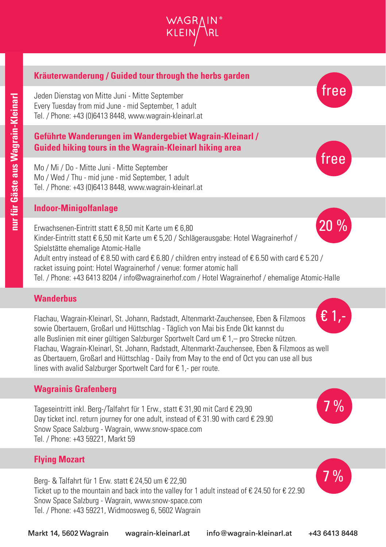# **Kräuterwanderung / Guided tour through the herbs garden**

Jeden Dienstag von Mitte Juni - Mitte September Every Tuesday from mid June - mid September, 1 adult Tel. / Phone: +43 (0)6413 8448, www.wagrain-kleinarl.at

## **Geführte Wanderungen im Wandergebiet Wagrain-Kleinarl / Guided hiking tours in the Wagrain-Kleinarl hiking area**

Mo / Mi / Do - Mitte Juni - Mitte September Mo / Wed / Thu - mid june - mid September, 1 adult Tel. / Phone: +43 (0)6413 8448, www.wagrain-kleinarl.at

#### **Indoor-Minigolfanlage**

Erwachsenen-Eintritt statt € 8,50 mit Karte um € 6,80 Kinder-Eintritt statt € 6,50 mit Karte um € 5,20 / Schlägerausgabe: Hotel Wagrainerhof / Spielstätte ehemalige Atomic-Halle Adult entry instead of € 8.50 with card € 6.80 / children entry instead of € 6.50 with card € 5.20 / racket issuing point: Hotel Wagrainerhof / venue: former atomic hall Tel. / Phone: +43 6413 8204 / info@wagrainerhof.com / Hotel Wagrainerhof / ehemalige Atomic-Halle 20 %

# **Wanderbus**

Flachau, Wagrain-Kleinarl, St. Johann, Radstadt, Altenmarkt-Zauchensee, Eben & Filzmoos sowie Obertauern, Großarl und Hüttschlag - Täglich von Mai bis Ende Okt kannst du alle Buslinien mit einer gültigen Salzburger Sportwelt Card um € 1,– pro Strecke nützen. Flachau, Wagrain-Kleinarl, St. Johann, Radstadt, Altenmarkt-Zauchensee, Eben & Filzmoos as well as Obertauern, Großarl and Hüttschlag - Daily from May to the end of Oct you can use all bus lines with avalid Salzburger Sportwelt Card for € 1,- per route.

## **Wagrainis Grafenberg**

Tageseintritt inkl. Berg-/Talfahrt für 1 Erw., statt € 31,90 mit Card € 29,90 Day ticket incl. return journey for one adult, instead of € 31.90 with card € 29.90 Snow Space Salzburg - Wagrain, www.snow-space.com Tel. / Phone: +43 59221, Markt 59

## **Flying Mozart**

Berg- & Talfahrt für 1 Erw. statt € 24,50 um € 22,90 Ticket up to the mountain and back into the valley for 1 adult instead of € 24.50 for € 22.90 Snow Space Salzburg - Wagrain, www.snow-space.com Tel. / Phone: +43 59221, Widmoosweg 6, 5602 Wagrain



free





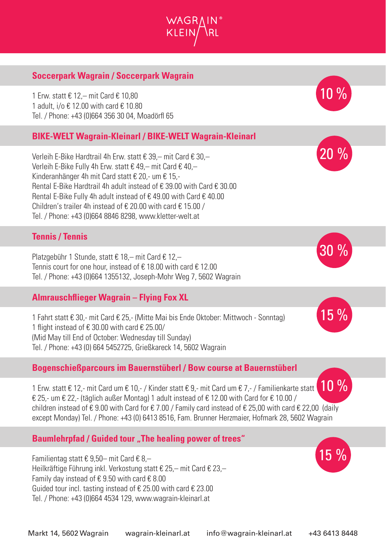# **Soccerpark Wagrain / Soccerpark Wagrain**

1 Erw. statt € 12,– mit Card € 10,80 1 adult, i/o € 12.00 with card € 10.80 Tel. / Phone: +43 (0)664 356 30 04, Moadörfl 65

# **BIKE-WELT Wagrain-Kleinarl / BIKE-WELT Wagrain-Kleinarl**

Verleih E-Bike Hardtrail 4h Erw. statt € 39,– mit Card € 30,– Verleih E-Bike Fully 4h Erw. statt € 49,– mit Card € 40,– Kinderanhänger 4h mit Card statt € 20,- um € 15,- Rental E-Bike Hardtrail 4h adult instead of € 39.00 with Card € 30.00 Rental E-Bike Fully 4h adult instead of € 49.00 with Card € 40.00 Children's trailer 4h instead of € 20.00 with card € 15.00 / Tel. / Phone: +43 (0)664 8846 8298, www.kletter-welt.at

#### **Tennis / Tennis**

Platzgebühr 1 Stunde, statt € 18,– mit Card € 12,– Tennis court for one hour, instead of € 18.00 with card € 12.00 Tel. / Phone: +43 (0)664 1355132, Joseph-Mohr Weg 7, 5602 Wagrain

#### **Almrauschflieger Wagrain – Flying Fox XL**

1 Fahrt statt € 30,- mit Card € 25,- (Mitte Mai bis Ende Oktober: Mittwoch - Sonntag) 1 flight instead of € 30.00 with card € 25.00/ (Mid May till End of October: Wednesday till Sunday) Tel. / Phone: +43 (0) 664 5452725, Grießkareck 14, 5602 Wagrain

#### **Bogenschießparcours im Bauernstüberl / Bow course at Bauernstüberl**

1 Erw. statt € 12,- mit Card um € 10,- / Kinder statt € 9,- mit Card um € 7,- / Familienkarte statt  $€$  25,- um  $€$  22,- (täglich außer Montag) 1 adult instead of  $€$  12.00 with Card for  $€$  10.00 / children instead of  $\epsilon$  9.00 with Card for  $\epsilon$  7.00 / Family card instead of  $\epsilon$  25,00 with card  $\epsilon$  22,00 (daily except Monday) Tel. / Phone: +43 (0) 6413 8516, Fam. Brunner Herzmaier, Hofmark 28, 5602 Wagrain  $10\%$ 

#### **Baumlehrpfad / Guided tour "The healing power of trees"**

Familientag statt € 9,50– mit Card € 8,– Heilkräftige Führung inkl. Verkostung statt € 25,– mit Card € 23,– Family day instead of  $\epsilon$  9.50 with card  $\epsilon$  8.00 Guided tour incl. tasting instead of € 25.00 with card € 23.00 Tel. / Phone: +43 (0)664 4534 129, www.wagrain-kleinarl.at







10 %



 $15\%$